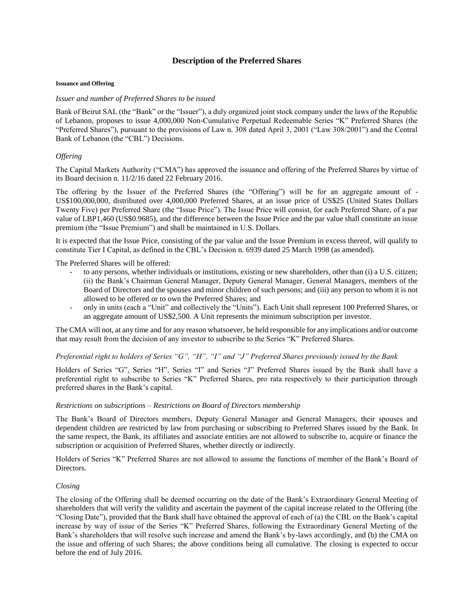# **Description of the Preferred Shares**

#### **Issuance and Offering**

### *Issuer and number of Preferred Shares to be issued*

Bank of Beirut SAL (the "Bank" or the "Issuer"), a duly organized joint stock company under the laws of the Republic of Lebanon, proposes to issue 4,000,000 Non-Cumulative Perpetual Redeemable Series "K" Preferred Shares (the "Preferred Shares"), pursuant to the provisions of Law n. 308 dated April 3, 2001 ("Law 308/2001") and the Central Bank of Lebanon (the "CBL") Decisions.

## *Offering*

The Capital Markets Authority ("CMA") has approved the issuance and offering of the Preferred Shares by virtue of its Board decision n. 11/2/16 dated 22 February 2016.

The offering by the Issuer of the Preferred Shares (the "Offering") will be for an aggregate amount of - US\$100,000,000, distributed over 4,000,000 Preferred Shares, at an issue price of US\$25 (United States Dollars Twenty Five) per Preferred Share (the "Issue Price"). The Issue Price will consist, for each Preferred Share, of a par value of LBP1,460 (US\$0.9685), and the difference between the Issue Price and the par value shall constitute an issue premium (the "Issue Premium") and shall be maintained in U.S. Dollars.

It is expected that the Issue Price, consisting of the par value and the Issue Premium in excess thereof, will qualify to constitute Tier I Capital, as defined in the CBL's Decision n. 6939 dated 25 March 1998 (as amended).

The Preferred Shares will be offered:

- to any persons, whether individuals or institutions, existing or new shareholders, other than (i) a U.S. citizen; (ii) the Bank's Chairman General Manager, Deputy General Manager, General Managers, members of the Board of Directors and the spouses and minor children of such persons; and (iii) any person to whom it is not allowed to be offered or to own the Preferred Shares; and
- only in units (each a "Unit" and collectively the "Units"). Each Unit shall represent 100 Preferred Shares, or an aggregate amount of US\$2,500. A Unit represents the minimum subscription per investor.

The CMA will not, at any time and for any reason whatsoever, be held responsible for any implications and/or outcome that may result from the decision of any investor to subscribe to the Series "K" Preferred Shares.

## *Preferential right to holders of Series "G", "H", "I" and "J" Preferred Shares previously issued by the Bank*

Holders of Series "G", Series "H", Series "I" and Series "J" Preferred Shares issued by the Bank shall have a preferential right to subscribe to Series "K" Preferred Shares, pro rata respectively to their participation through preferred shares in the Bank's capital.

## *Restrictions on subscriptions – Restrictions on Board of Directors membership*

The Bank's Board of Directors members, Deputy General Manager and General Managers, their spouses and dependent children are restricted by law from purchasing or subscribing to Preferred Shares issued by the Bank. In the same respect, the Bank, its affiliates and associate entities are not allowed to subscribe to, acquire or finance the subscription or acquisition of Preferred Shares, whether directly or indirectly.

Holders of Series "K" Preferred Shares are not allowed to assume the functions of member of the Bank's Board of Directors.

## *Closing*

The closing of the Offering shall be deemed occurring on the date of the Bank's Extraordinary General Meeting of shareholders that will verify the validity and ascertain the payment of the capital increase related to the Offering (the "Closing Date"), provided that the Bank shall have obtained the approval of each of (a) the CBL on the Bank's capital increase by way of issue of the Series "K" Preferred Shares, following the Extraordinary General Meeting of the Bank's shareholders that will resolve such increase and amend the Bank's by-laws accordingly, and (b) the CMA on the issue and offering of such Shares; the above conditions being all cumulative. The closing is expected to occur before the end of July 2016.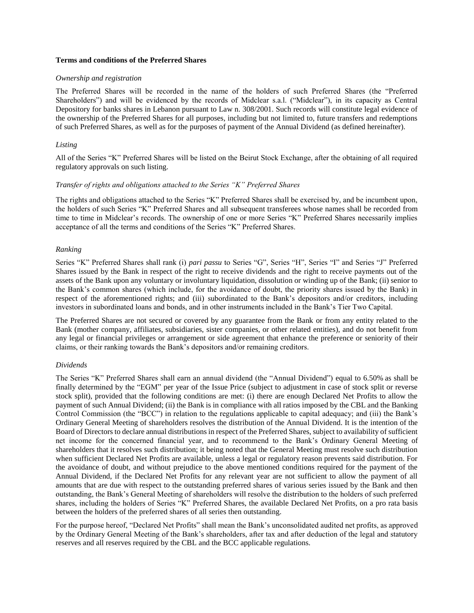## **Terms and conditions of the Preferred Shares**

#### *Ownership and registration*

The Preferred Shares will be recorded in the name of the holders of such Preferred Shares (the "Preferred Shareholders") and will be evidenced by the records of Midclear s.a.l. ("Midclear"), in its capacity as Central Depository for banks shares in Lebanon pursuant to Law n. 308/2001. Such records will constitute legal evidence of the ownership of the Preferred Shares for all purposes, including but not limited to, future transfers and redemptions of such Preferred Shares, as well as for the purposes of payment of the Annual Dividend (as defined hereinafter).

## *Listing*

All of the Series "K" Preferred Shares will be listed on the Beirut Stock Exchange, after the obtaining of all required regulatory approvals on such listing.

### *Transfer of rights and obligations attached to the Series "K" Preferred Shares*

The rights and obligations attached to the Series "K" Preferred Shares shall be exercised by, and be incumbent upon, the holders of such Series "K" Preferred Shares and all subsequent transferees whose names shall be recorded from time to time in Midclear's records. The ownership of one or more Series "K" Preferred Shares necessarily implies acceptance of all the terms and conditions of the Series "K" Preferred Shares.

## *Ranking*

Series "K" Preferred Shares shall rank (i) *pari passu* to Series "G", Series "H", Series "I" and Series "J" Preferred Shares issued by the Bank in respect of the right to receive dividends and the right to receive payments out of the assets of the Bank upon any voluntary or involuntary liquidation, dissolution or winding up of the Bank; (ii) senior to the Bank's common shares (which include, for the avoidance of doubt, the priority shares issued by the Bank) in respect of the aforementioned rights; and (iii) subordinated to the Bank's depositors and/or creditors, including investors in subordinated loans and bonds, and in other instruments included in the Bank's Tier Two Capital.

The Preferred Shares are not secured or covered by any guarantee from the Bank or from any entity related to the Bank (mother company, affiliates, subsidiaries, sister companies, or other related entities), and do not benefit from any legal or financial privileges or arrangement or side agreement that enhance the preference or seniority of their claims, or their ranking towards the Bank's depositors and/or remaining creditors.

#### *Dividends*

The Series "K" Preferred Shares shall earn an annual dividend (the "Annual Dividend") equal to 6.50% as shall be finally determined by the "EGM" per year of the Issue Price (subject to adjustment in case of stock split or reverse stock split), provided that the following conditions are met: (i) there are enough Declared Net Profits to allow the payment of such Annual Dividend; (ii) the Bank is in compliance with all ratios imposed by the CBL and the Banking Control Commission (the "BCC") in relation to the regulations applicable to capital adequacy; and (iii) the Bank's Ordinary General Meeting of shareholders resolves the distribution of the Annual Dividend. It is the intention of the Board of Directors to declare annual distributions in respect of the Preferred Shares, subject to availability of sufficient net income for the concerned financial year, and to recommend to the Bank's Ordinary General Meeting of shareholders that it resolves such distribution; it being noted that the General Meeting must resolve such distribution when sufficient Declared Net Profits are available, unless a legal or regulatory reason prevents said distribution. For the avoidance of doubt, and without prejudice to the above mentioned conditions required for the payment of the Annual Dividend, if the Declared Net Profits for any relevant year are not sufficient to allow the payment of all amounts that are due with respect to the outstanding preferred shares of various series issued by the Bank and then outstanding, the Bank's General Meeting of shareholders will resolve the distribution to the holders of such preferred shares, including the holders of Series "K" Preferred Shares, the available Declared Net Profits, on a pro rata basis between the holders of the preferred shares of all series then outstanding.

For the purpose hereof, "Declared Net Profits" shall mean the Bank's unconsolidated audited net profits, as approved by the Ordinary General Meeting of the Bank's shareholders, after tax and after deduction of the legal and statutory reserves and all reserves required by the CBL and the BCC applicable regulations.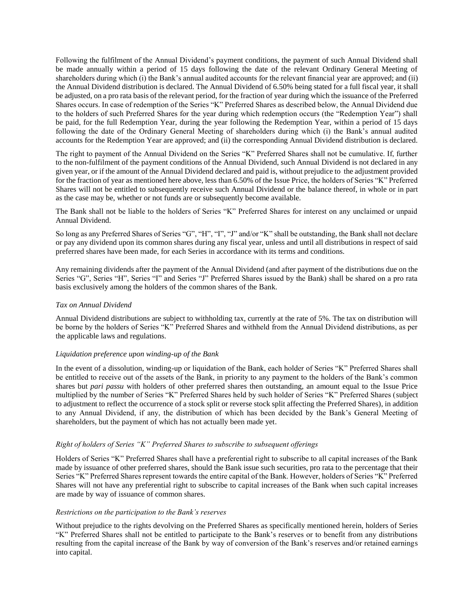Following the fulfilment of the Annual Dividend's payment conditions, the payment of such Annual Dividend shall be made annually within a period of 15 days following the date of the relevant Ordinary General Meeting of shareholders during which (i) the Bank's annual audited accounts for the relevant financial year are approved; and (ii) the Annual Dividend distribution is declared. The Annual Dividend of 6.50% being stated for a full fiscal year, it shall be adjusted, on a pro rata basis of the relevant period, for the fraction of year during which the issuance of the Preferred Shares occurs. In case of redemption of the Series "K" Preferred Shares as described below, the Annual Dividend due to the holders of such Preferred Shares for the year during which redemption occurs (the "Redemption Year") shall be paid, for the full Redemption Year, during the year following the Redemption Year, within a period of 15 days following the date of the Ordinary General Meeting of shareholders during which (i) the Bank's annual audited accounts for the Redemption Year are approved; and (ii) the corresponding Annual Dividend distribution is declared.

The right to payment of the Annual Dividend on the Series "K" Preferred Shares shall not be cumulative. If, further to the non-fulfilment of the payment conditions of the Annual Dividend, such Annual Dividend is not declared in any given year, or if the amount of the Annual Dividend declared and paid is, without prejudice to the adjustment provided for the fraction of year as mentioned here above, less than 6.50% of the Issue Price, the holders of Series "K" Preferred Shares will not be entitled to subsequently receive such Annual Dividend or the balance thereof, in whole or in part as the case may be, whether or not funds are or subsequently become available.

The Bank shall not be liable to the holders of Series "K" Preferred Shares for interest on any unclaimed or unpaid Annual Dividend.

So long as any Preferred Shares of Series "G", "H", "I", "J" and/or "K" shall be outstanding, the Bank shall not declare or pay any dividend upon its common shares during any fiscal year, unless and until all distributions in respect of said preferred shares have been made, for each Series in accordance with its terms and conditions.

Any remaining dividends after the payment of the Annual Dividend (and after payment of the distributions due on the Series "G", Series "H", Series "I" and Series "J" Preferred Shares issued by the Bank) shall be shared on a pro rata basis exclusively among the holders of the common shares of the Bank.

## *Tax on Annual Dividend*

Annual Dividend distributions are subject to withholding tax, currently at the rate of 5%. The tax on distribution will be borne by the holders of Series "K" Preferred Shares and withheld from the Annual Dividend distributions, as per the applicable laws and regulations.

## *Liquidation preference upon winding-up of the Bank*

In the event of a dissolution, winding-up or liquidation of the Bank, each holder of Series "K" Preferred Shares shall be entitled to receive out of the assets of the Bank, in priority to any payment to the holders of the Bank's common shares but *pari passu* with holders of other preferred shares then outstanding, an amount equal to the Issue Price multiplied by the number of Series "K" Preferred Shares held by such holder of Series "K" Preferred Shares (subject to adjustment to reflect the occurrence of a stock split or reverse stock split affecting the Preferred Shares), in addition to any Annual Dividend, if any, the distribution of which has been decided by the Bank's General Meeting of shareholders, but the payment of which has not actually been made yet.

# *Right of holders of Series "K" Preferred Shares to subscribe to subsequent offerings*

Holders of Series "K" Preferred Shares shall have a preferential right to subscribe to all capital increases of the Bank made by issuance of other preferred shares, should the Bank issue such securities, pro rata to the percentage that their Series "K" Preferred Shares represent towards the entire capital of the Bank. However, holders of Series "K" Preferred Shares will not have any preferential right to subscribe to capital increases of the Bank when such capital increases are made by way of issuance of common shares.

## *Restrictions on the participation to the Bank's reserves*

Without prejudice to the rights devolving on the Preferred Shares as specifically mentioned herein, holders of Series "K" Preferred Shares shall not be entitled to participate to the Bank's reserves or to benefit from any distributions resulting from the capital increase of the Bank by way of conversion of the Bank's reserves and/or retained earnings into capital.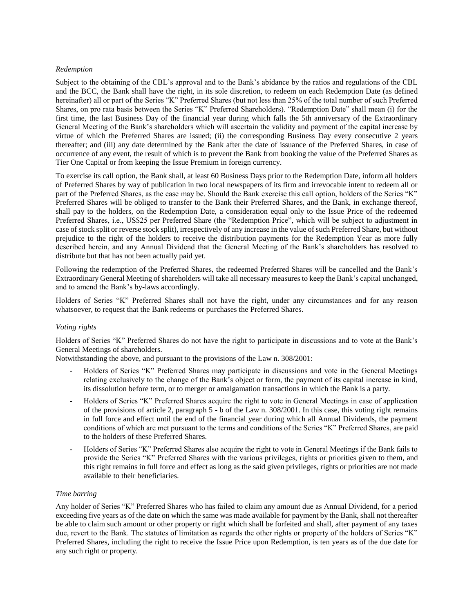## *Redemption*

Subject to the obtaining of the CBL's approval and to the Bank's abidance by the ratios and regulations of the CBL and the BCC, the Bank shall have the right, in its sole discretion, to redeem on each Redemption Date (as defined hereinafter) all or part of the Series "K" Preferred Shares (but not less than 25% of the total number of such Preferred Shares, on pro rata basis between the Series "K" Preferred Shareholders). "Redemption Date" shall mean (i) for the first time, the last Business Day of the financial year during which falls the 5th anniversary of the Extraordinary General Meeting of the Bank's shareholders which will ascertain the validity and payment of the capital increase by virtue of which the Preferred Shares are issued; (ii) the corresponding Business Day every consecutive 2 years thereafter; and (iii) any date determined by the Bank after the date of issuance of the Preferred Shares, in case of occurrence of any event, the result of which is to prevent the Bank from booking the value of the Preferred Shares as Tier One Capital or from keeping the Issue Premium in foreign currency.

To exercise its call option, the Bank shall, at least 60 Business Days prior to the Redemption Date, inform all holders of Preferred Shares by way of publication in two local newspapers of its firm and irrevocable intent to redeem all or part of the Preferred Shares, as the case may be. Should the Bank exercise this call option, holders of the Series "K" Preferred Shares will be obliged to transfer to the Bank their Preferred Shares, and the Bank, in exchange thereof, shall pay to the holders, on the Redemption Date, a consideration equal only to the Issue Price of the redeemed Preferred Shares, i.e., US\$25 per Preferred Share (the "Redemption Price", which will be subject to adjustment in case of stock split or reverse stock split), irrespectively of any increase in the value of such Preferred Share, but without prejudice to the right of the holders to receive the distribution payments for the Redemption Year as more fully described herein, and any Annual Dividend that the General Meeting of the Bank's shareholders has resolved to distribute but that has not been actually paid yet.

Following the redemption of the Preferred Shares, the redeemed Preferred Shares will be cancelled and the Bank's Extraordinary General Meeting of shareholders will take all necessary measures to keep the Bank's capital unchanged, and to amend the Bank's by-laws accordingly.

Holders of Series "K" Preferred Shares shall not have the right, under any circumstances and for any reason whatsoever, to request that the Bank redeems or purchases the Preferred Shares.

## *Voting rights*

Holders of Series "K" Preferred Shares do not have the right to participate in discussions and to vote at the Bank's General Meetings of shareholders.

Notwithstanding the above, and pursuant to the provisions of the Law n. 308/2001:

- Holders of Series "K" Preferred Shares may participate in discussions and vote in the General Meetings relating exclusively to the change of the Bank's object or form, the payment of its capital increase in kind, its dissolution before term, or to merger or amalgamation transactions in which the Bank is a party.
- Holders of Series "K" Preferred Shares acquire the right to vote in General Meetings in case of application of the provisions of article 2, paragraph 5 - b of the Law n. 308/2001. In this case, this voting right remains in full force and effect until the end of the financial year during which all Annual Dividends, the payment conditions of which are met pursuant to the terms and conditions of the Series "K" Preferred Shares, are paid to the holders of these Preferred Shares.
- Holders of Series "K" Preferred Shares also acquire the right to vote in General Meetings if the Bank fails to provide the Series "K" Preferred Shares with the various privileges, rights or priorities given to them, and this right remains in full force and effect as long as the said given privileges, rights or priorities are not made available to their beneficiaries.

## *Time barring*

Any holder of Series "K" Preferred Shares who has failed to claim any amount due as Annual Dividend, for a period exceeding five years as of the date on which the same was made available for payment by the Bank, shall not thereafter be able to claim such amount or other property or right which shall be forfeited and shall, after payment of any taxes due, revert to the Bank. The statutes of limitation as regards the other rights or property of the holders of Series "K" Preferred Shares, including the right to receive the Issue Price upon Redemption, is ten years as of the due date for any such right or property.